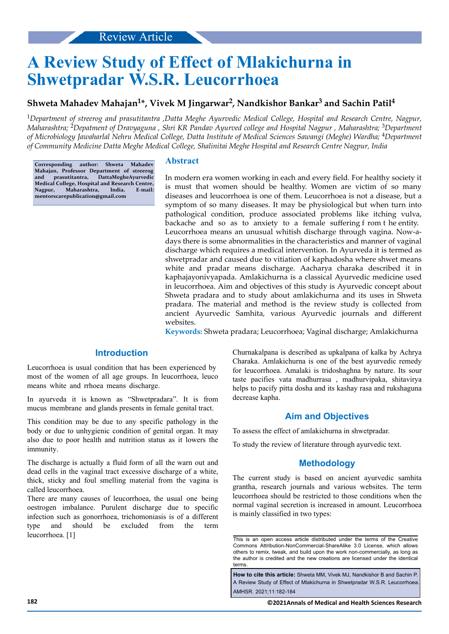# **A Review Study of Effect of Mlakichurna in Shwetpradar W.S.R. Leucorrhoea**

## **Shweta Mahadev Mahajan<sup>1</sup> \*, Vivek M Jingarwar<sup>2</sup> , Nandkishor Bankar<sup>3</sup> and Sachin Patil<sup>4</sup>**

<sup>1</sup>*Department of streerog and prasutitantra ,Datta Meghe Ayurvedic Medical College, Hospital and Research Centre, Nagpur, Maharashtra;* 2*Depatment of Dravyaguna , Shri KR Pandav Ayurved college and Hospital Nagpur , Maharashtra;* 3*Department of Microbiology Jawaharlal Nehru Medical College, Datta Institute of Medical Sciences Sawangi (Meghe) Wardha;* 4*Department of Community Medicine Datta Meghe Medical College, Shalinitai Meghe Hospital and Research Centre Nagpur, India*

**Corresponding author: Shweta Mahadev Mahajan, Professor Department of streerog and prasutitantra, DattaMegheAyurvedic Medical College, Hospital and Research Centre, Nagpur, Maharashtra, India, E-mail: mentorscarepublication@gmail.com**

## **Abstract**

In modern era women working in each and every field. For healthy society it is must that women should be healthy. Women are victim of so many diseases and leucorrhoea is one of them. Leucorrhoea is not a disease, but a symptom of so many diseases. It may be physiological but when turn into pathological condition, produce associated problems like itching vulva, backache and so as to anxiety to a female suffering f rom t he entity. Leucorrhoea means an unusual whitish discharge through vagina. Now-adays there is some abnormalities in the characteristics and manner of vaginal discharge which requires a medical intervention. In Ayurveda it is termed as shwetpradar and caused due to vitiation of kaphadosha where shwet means white and pradar means discharge. Aacharya charaka described it in kaphajayonivyapada. Amlakichurna is a classical Ayurvedic medicine used in leucorrhoea. Aim and objectives of this study is Ayurvedic concept about Shweta pradara and to study about amlakichurna and its uses in Shweta pradara. The material and method is the review study is collected from ancient Ayurvedic Samhita, various Ayurvedic journals and different websites.

**Keywords:** Shweta pradara; Leucorrhoea; Vaginal discharge; Amlakichurna

## **Introduction**

Leucorrhoea is usual condition that has been experienced by most of the women of all age groups. In leucorrhoea, leuco means white and rrhoea means discharge.

In ayurveda it is known as "Shwetpradara". It is from mucus membrane and glands presents in female genital tract.

This condition may be due to any specific pathology in the body or due to unhygienic condition of genital organ. It may also due to poor health and nutrition status as it lowers the immunity.

The discharge is actually a fluid form of all the warn out and dead cells in the vaginal tract excessive discharge of a white, thick, sticky and foul smelling material from the vagina is called leucorrhoea.

There are many causes of leucorrhoea, the usual one being oestrogen imbalance. Purulent discharge due to specific infection such as gonorrhoea, trichomoniasis is of a different type and should be excluded from the term leucorrhoea. [1]

Churnakalpana is described as upkalpana of kalka by Achrya Charaka. Amlakichurna is one of the best ayurvedic remedy for leucorrhoea. Amalaki is tridoshaghna by nature. Its sour taste pacifies vata madhurrasa , madhurvipaka, shitavirya helps to pacify pitta dosha and its kashay rasa and rukshaguna decrease kapha.

## **Aim and Objectives**

To assess the effect of amlakichurna in shwetpradar.

To study the review of literature through ayurvedic text.

## **Methodology**

The current study is based on ancient ayurvedic samhita grantha, research journals and various websites. The term leucorrhoea should be restricted to those conditions when the normal vaginal secretion is increased in amount. Leucorrhoea is mainly classified in two types:

**How to cite this article:** Shweta MM, Vivek MJ, Nandkishor B and Sachin P. A Review Study of Effect of Mlakichurna in Shwetpradar W.S.R. Leucorrhoea. AMHSR. 2021;11:182-184

This is an open access article distributed under the terms of the Creative Commons Attribution‑NonCommercial‑ShareAlike 3.0 License, which allows others to remix, tweak, and build upon the work non‑commercially, as long as the author is credited and the new creations are licensed under the identical terms.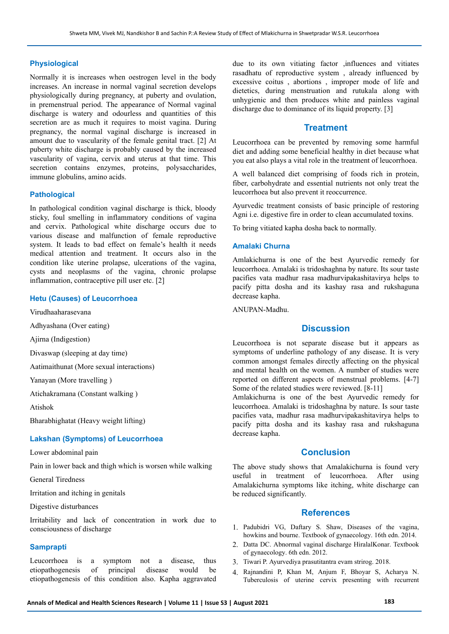#### **Physiological**

Normally it is increases when oestrogen level in the body increases. An increase in normal vaginal secretion develops physiologically during pregnancy, at puberty and ovulation, in premenstrual period. The appearance of Normal vaginal discharge is watery and odourless and quantities of this secretion are as much it requires to moist vagina. During pregnancy, the normal vaginal discharge is increased in amount due to vascularity of the female genital tract. [2] At puberty white discharge is probably caused by the increased vascularity of vagina, cervix and uterus at that time. This secretion contains enzymes, proteins, polysaccharides, immune globulins, amino acids.

#### **Pathological**

In pathological condition vaginal discharge is thick, bloody sticky, foul smelling in inflammatory conditions of vagina and cervix. Pathological white discharge occurs due to various disease and malfunction of female reproductive system. It leads to bad effect on female's health it needs medical attention and treatment. It occurs also in the condition like uterine prolapse, ulcerations of the vagina, cysts and neoplasms of the vagina, chronic prolapse inflammation, contraceptive pill user etc. [2]

#### **Hetu (Causes) of Leucorrhoea**

Virudhaaharasevana

Adhyashana (Over eating)

Ajirna (Indigestion)

Divaswap (sleeping at day time)

Aatimaithunat (More sexual interactions)

Yanayan (More travelling )

Atichakramana (Constant walking )

Atishok

Bharabhighatat (Heavy weight lifting)

#### **Lakshan (Symptoms) of Leucorrhoea**

Lower abdominal pain

Pain in lower back and thigh which is worsen while walking

General Tiredness

Irritation and itching in genitals

Digestive disturbances

Irritability and lack of concentration in work due to consciousness of discharge

## **Samprapti**

Leucorrhoea is a symptom not a disease, thus etiopathogenesis of principal disease would be etiopathogenesis of this condition also. Kapha aggravated due to its own vitiating factor ,influences and vitiates rasadhatu of reproductive system , already influenced by excessive coitus , abortions , improper mode of life and dietetics, during menstruation and rutukala along with unhygienic and then produces white and painless vaginal discharge due to dominance of its liquid property. [3]

## **Treatment**

Leucorrhoea can be prevented by removing some harmful diet and adding some beneficial healthy in diet because what you eat also plays a vital role in the treatment of leucorrhoea.

A well balanced diet comprising of foods rich in protein, fiber, carbohydrate and essential nutrients not only treat the leucorrhoea but also prevent it reoccurrence.

Ayurvedic treatment consists of basic principle of restoring Agni i.e. digestive fire in order to clean accumulated toxins.

To bring vitiated kapha dosha back to normally.

#### **Amalaki Churna**

Amlakichurna is one of the best Ayurvedic remedy for leucorrhoea. Amalaki is tridoshaghna by nature. Its sour taste pacifies vata madhur rasa madhurvipakashitavirya helps to pacify pitta dosha and its kashay rasa and rukshaguna decrease kapha.

ANUPAN-Madhu.

## **Discussion**

Leucorrhoea is not separate disease but it appears as symptoms of underline pathology of any disease. It is very common amongst females directly affecting on the physical and mental health on the women. A number of studies were reported on different aspects of menstrual problems. [4-7] Some of the related studies were reviewed. [8-11]

Amlakichurna is one of the best Ayurvedic remedy for leucorrhoea. Amalaki is tridoshaghna by nature. Is sour taste pacifies vata, madhur rasa madhurvipakashitavirya helps to pacify pitta dosha and its kashay rasa and rukshaguna decrease kapha.

#### **Conclusion**

The above study shows that Amalakichurna is found very useful in treatment of leucorrhoea. After using Amalakichurna symptoms like itching, white discharge can be reduced significantly.

## **References**

- 1. Padubidri VG, Daftary S. Shaw, Diseases of the vagina, howkins and bourne. Textbook of gynaecology. 16th edn. 2014.
- 2. Datta DC. Abnormal vaginal discharge HiralalKonar. Textbook of gynaecology. 6th edn. 2012.
- 3. Tiwari P. Ayurvediya prasutitantra evam strirog. 2018.
- 4. Rajnandini P, Khan M, Anjum F, Bhoyar S, Acharya N. Tuberculosis of uterine cervix presenting with recurrent